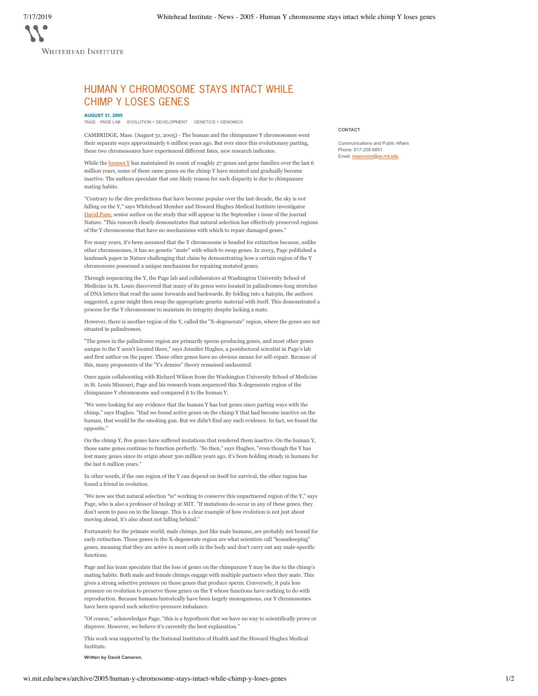## HUMAN Y CHROMOSOME STAYS INTACT WHILE CHIMP Y LOSES GENES

## **AUGUST 31, 2005**

TAGS: PAGE LAB EVOLUTION + DEVELOPMENT GENETICS + GENOMICS

CAMBRIDGE, Mass. (August 31, 2005) - The human and the chimpanzee Y chromosomes went their separate ways approximately 6 million years ago. But ever since this evolutionary parting, these two chromosomes have experienced different fates, new research indicates.

While the  $\frac{\text{human Y}}{\text{1}}$  has maintained its count of roughly 27 genes and gene families over the last 6 million years, some of these same genes on the chimp Y have mutated and gradually become inactive. The authors speculate that one likely reason for such disparity is due to chimpanzee mating habits.

"Contrary to the dire predictions that have become popular over the last decade, the sky is *not* falling on the Y," says Whitehead Member and Howard Hughes Medical Institute investigator David Page, senior author on the study that will appear in the September 1 issue of the journal Nature. "This research clearly demonstrates that natural selection has effectively preserved regions of the Y chromosome that have no mechanisms with which to repair damaged genes."

For many years, it's been assumed that the Y chromosome is headed for extinction because, unlike other chromosomes, it has no genetic "mate" with which to swap genes. In 2003, Page published a landmark paper in Nature challenging that claim by demonstrating how a certain region of the Y chromosome possessed a unique mechanism for repairing mutated genes.

Through sequencing the Y, the Page lab and collaborators at Washington University School of Medicine in St. Louis discovered that many of its genes were located in palindromes-long stretches of DNA letters that read the same forwards and backwards. By folding into a hairpin, the authors suggested, a gene might then swap the appropriate genetic material with itself. This demonstrated a process for the Y chromosome to maintain its integrity despite lacking a mate.

However, there is another region of the Y, called the "X-degenerate" region, where the genes are not situated in palindromes.

"The genes in the palindrome region are primarily sperm-producing genes, and most other genes unique to the Y aren't located there," says Jennifer Hughes, a postdoctoral scientist in Page's lab and first author on the paper. These other genes have no obvious means for self-repair. Because of this, many proponents of the "Y's demise" theory remained undaunted.

Once again collaborating with Richard Wilson from the Washington University School of Medicine in St. Louis Missouri, Page and his research team sequenced this X-degenerate region of the chimpanzee Y chromosome and compared it to the human Y.

"We were looking for any evidence that the human Y has lost genes since parting ways with the chimp," says Hughes. "Had we found active genes on the chimp Y that had become inactive on the human, that would be the smoking gun. But we didn't find any such evidence. In fact, we found the opposite."

On the chimp Y, five genes have suffered mutations that rendered them inactive. On the human Y, those same genes continue to function perfectly. "So then," says Hughes, "even though the Y has lost many genes since its origin about 300 million years ago, it's been holding steady in humans for the last 6 million years.

In other words, if the one region of the Y can depend on itself for survival, the other region has found a friend in evolution.

"We now see that natural selection \*is\* working to conserve this unpartnered region of the Y," says Page, who is also a professor of biology at MIT. "If mutations do occur in any of these genes, they don't seem to pass on in the lineage. This is a clear example of how evolution is not just about moving ahead, it's also about not falling behind."

Fortunately for the primate world, male chimps, just like male humans, are probably not bound for early extinction. Those genes in the X-degenerate region are what scientists call "housekeeping" genes, meaning that they are active in most cells in the body and don't carry out any male-specific functions.

Page and his team speculate that the loss of genes on the chimpanzee Y may be due to the chimp's mating habits. Both male and female chimps engage with multiple partners when they mate. This gives a strong selective pressure on those genes that produce sperm. Conversely, it puts less pressure on evolution to preserve those genes on the Y whose functions have nothing to do with reproduction. Because humans historically have been largely monogamous, our Y chromosomes have been spared such selective-pressure imbalance.

"Of course," acknowledges Page, "this is a hypothesis that we have no way to scientifically prove or disprove. However, we believe it's currently the best explanation."

This work was supported by the National Institutes of Health and the Howard Hughes Medical Institute.

**Written by David Cameron.**

## **CONTACT**

Communications and Public Affairs Phone: 617-258-6851 Email: newsroom@wi.mit.edu